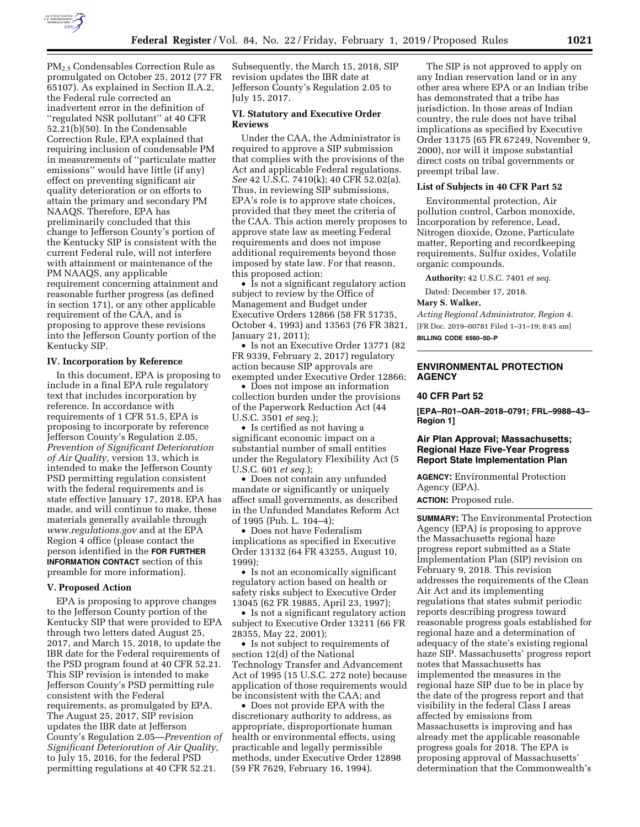

PM2.5 Condensables Correction Rule as promulgated on October 25, 2012 (77 FR 65107). As explained in Section II.A.2, the Federal rule corrected an inadvertent error in the definition of ''regulated NSR pollutant'' at 40 CFR 52.21(b)(50). In the Condensable Correction Rule, EPA explained that requiring inclusion of condensable PM in measurements of ''particulate matter emissions'' would have little (if any) effect on preventing significant air quality deterioration or on efforts to attain the primary and secondary PM NAAQS. Therefore, EPA has preliminarily concluded that this change to Jefferson County's portion of the Kentucky SIP is consistent with the current Federal rule, will not interfere with attainment or maintenance of the PM NAAQS, any applicable requirement concerning attainment and reasonable further progress (as defined in section 171), or any other applicable requirement of the CAA, and is proposing to approve these revisions into the Jefferson County portion of the Kentucky SIP.

## **IV. Incorporation by Reference**

In this document, EPA is proposing to include in a final EPA rule regulatory text that includes incorporation by reference. In accordance with requirements of 1 CFR 51.5, EPA is proposing to incorporate by reference Jefferson County's Regulation 2.05, *Prevention of Significant Deterioration of Air Quality,* version 13, which is intended to make the Jefferson County PSD permitting regulation consistent with the federal requirements and is state effective January 17, 2018. EPA has made, and will continue to make, these materials generally available through *[www.regulations.gov](http://www.regulations.gov)* and at the EPA Region 4 office (please contact the person identified in the **FOR FURTHER INFORMATION CONTACT** section of this preamble for more information).

#### **V. Proposed Action**

EPA is proposing to approve changes to the Jefferson County portion of the Kentucky SIP that were provided to EPA through two letters dated August 25, 2017, and March 15, 2018, to update the IBR date for the Federal requirements of the PSD program found at 40 CFR 52.21. This SIP revision is intended to make Jefferson County's PSD permitting rule consistent with the Federal requirements, as promulgated by EPA. The August 25, 2017, SIP revision updates the IBR date at Jefferson County's Regulation 2.05—*Prevention of Significant Deterioration of Air Quality,*  to July 15, 2016, for the federal PSD permitting regulations at 40 CFR 52.21.

Subsequently, the March 15, 2018, SIP revision updates the IBR date at Jefferson County's Regulation 2.05 to July 15, 2017.

## **VI. Statutory and Executive Order Reviews**

Under the CAA, the Administrator is required to approve a SIP submission that complies with the provisions of the Act and applicable Federal regulations. *See* 42 U.S.C. 7410(k); 40 CFR 52.02(a). Thus, in reviewing SIP submissions, EPA's role is to approve state choices, provided that they meet the criteria of the CAA. This action merely proposes to approve state law as meeting Federal requirements and does not impose additional requirements beyond those imposed by state law. For that reason, this proposed action:

• Is not a significant regulatory action subject to review by the Office of Management and Budget under Executive Orders 12866 (58 FR 51735, October 4, 1993) and 13563 (76 FR 3821, January 21, 2011);

• Is not an Executive Order 13771 (82 FR 9339, February 2, 2017) regulatory action because SIP approvals are exempted under Executive Order 12866;

• Does not impose an information collection burden under the provisions of the Paperwork Reduction Act (44 U.S.C. 3501 *et seq.*);

• Is certified as not having a significant economic impact on a substantial number of small entities under the Regulatory Flexibility Act (5 U.S.C. 601 *et seq.*);

• Does not contain any unfunded mandate or significantly or uniquely affect small governments, as described in the Unfunded Mandates Reform Act of 1995 (Pub. L. 104–4);

• Does not have Federalism implications as specified in Executive Order 13132 (64 FR 43255, August 10, 1999);

• Is not an economically significant regulatory action based on health or safety risks subject to Executive Order 13045 (62 FR 19885, April 23, 1997);

• Is not a significant regulatory action subject to Executive Order 13211 (66 FR 28355, May 22, 2001);

• Is not subject to requirements of section 12(d) of the National Technology Transfer and Advancement Act of 1995 (15 U.S.C. 272 note) because application of those requirements would be inconsistent with the CAA; and

• Does not provide EPA with the discretionary authority to address, as appropriate, disproportionate human health or environmental effects, using practicable and legally permissible methods, under Executive Order 12898 (59 FR 7629, February 16, 1994).

The SIP is not approved to apply on any Indian reservation land or in any other area where EPA or an Indian tribe has demonstrated that a tribe has jurisdiction. In those areas of Indian country, the rule does not have tribal implications as specified by Executive Order 13175 (65 FR 67249, November 9, 2000), nor will it impose substantial direct costs on tribal governments or preempt tribal law.

## **List of Subjects in 40 CFR Part 52**

Environmental protection, Air pollution control, Carbon monoxide, Incorporation by reference, Lead, Nitrogen dioxide, Ozone, Particulate matter, Reporting and recordkeeping requirements, Sulfur oxides, Volatile organic compounds.

**Authority:** 42 U.S.C. 7401 *et seq.* 

Dated: December 17, 2018.

## **Mary S. Walker,**

*Acting Regional Administrator, Region 4.*  [FR Doc. 2019–00781 Filed 1–31–19; 8:45 am] **BILLING CODE 6560–50–P** 

# **ENVIRONMENTAL PROTECTION AGENCY**

### **40 CFR Part 52**

**[EPA–R01–OAR–2018–0791; FRL–9988–43– Region 1]** 

# **Air Plan Approval; Massachusetts; Regional Haze Five-Year Progress Report State Implementation Plan**

**AGENCY:** Environmental Protection Agency (EPA).

**ACTION:** Proposed rule.

**SUMMARY:** The Environmental Protection Agency (EPA) is proposing to approve the Massachusetts regional haze progress report submitted as a State Implementation Plan (SIP) revision on February 9, 2018. This revision addresses the requirements of the Clean Air Act and its implementing regulations that states submit periodic reports describing progress toward reasonable progress goals established for regional haze and a determination of adequacy of the state's existing regional haze SIP. Massachusetts' progress report notes that Massachusetts has implemented the measures in the regional haze SIP due to be in place by the date of the progress report and that visibility in the federal Class I areas affected by emissions from Massachusetts is improving and has already met the applicable reasonable progress goals for 2018. The EPA is proposing approval of Massachusetts' determination that the Commonwealth's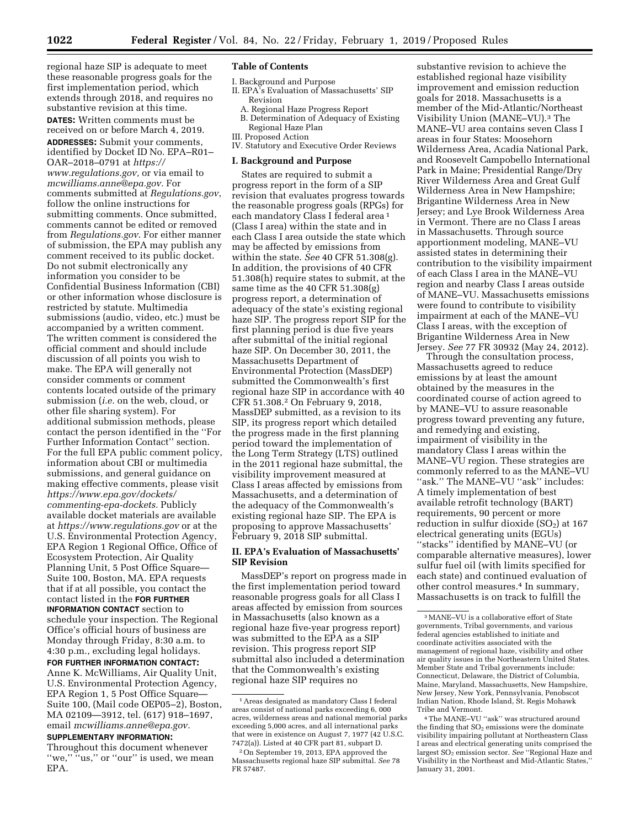regional haze SIP is adequate to meet these reasonable progress goals for the first implementation period, which extends through 2018, and requires no substantive revision at this time.

**DATES:** Written comments must be received on or before March 4, 2019. **ADDRESSES:** Submit your comments, identified by Docket ID No. EPA–R01– OAR–2018–0791 at *[https://](https://www.regulations.gov) [www.regulations.gov,](https://www.regulations.gov)* or via email to *[mcwilliams.anne@epa.gov.](mailto:mcwilliams.anne@epa.gov)* For comments submitted at *Regulations.gov*, follow the online instructions for submitting comments. Once submitted, comments cannot be edited or removed from *Regulations.gov*. For either manner of submission, the EPA may publish any comment received to its public docket. Do not submit electronically any information you consider to be Confidential Business Information (CBI) or other information whose disclosure is restricted by statute. Multimedia submissions (audio, video, etc.) must be accompanied by a written comment. The written comment is considered the official comment and should include discussion of all points you wish to make. The EPA will generally not consider comments or comment contents located outside of the primary submission (*i.e.* on the web, cloud, or other file sharing system). For additional submission methods, please contact the person identified in the ''For Further Information Contact'' section. For the full EPA public comment policy, information about CBI or multimedia submissions, and general guidance on making effective comments, please visit *[https://www.epa.gov/dockets/](https://www.epa.gov/dockets/commenting-epa-dockets)  [commenting-epa-dockets.](https://www.epa.gov/dockets/commenting-epa-dockets)* Publicly available docket materials are available at *<https://www.regulations.gov>* or at the U.S. Environmental Protection Agency, EPA Region 1 Regional Office, Office of Ecosystem Protection, Air Quality Planning Unit, 5 Post Office Square— Suite 100, Boston, MA. EPA requests that if at all possible, you contact the contact listed in the **FOR FURTHER INFORMATION CONTACT** section to schedule your inspection. The Regional Office's official hours of business are Monday through Friday, 8:30 a.m. to 4:30 p.m., excluding legal holidays. **FOR FURTHER INFORMATION CONTACT:** 

Anne K. McWilliams, Air Quality Unit, U.S. Environmental Protection Agency, EPA Region 1, 5 Post Office Square— Suite 100, (Mail code OEP05–2), Boston, MA 02109—3912, tel. (617) 918–1697, email *[mcwilliams.anne@epa.gov.](mailto:mcwilliams.anne@epa.gov)* 

# **SUPPLEMENTARY INFORMATION:**

Throughout this document whenever "we," "us," or "our" is used, we mean EPA.

## **Table of Contents**

- I. Background and Purpose II. EPA's Evaluation of Massachusetts' SIP
	- Revision
	- A. Regional Haze Progress Report
	- B. Determination of Adequacy of Existing Regional Haze Plan
- III. Proposed Action
- IV. Statutory and Executive Order Reviews

### **I. Background and Purpose**

States are required to submit a progress report in the form of a SIP revision that evaluates progress towards the reasonable progress goals (RPGs) for each mandatory Class I federal area 1 (Class I area) within the state and in each Class I area outside the state which may be affected by emissions from within the state. *See* 40 CFR 51.308(g). In addition, the provisions of 40 CFR 51.308(h) require states to submit, at the same time as the 40 CFR 51.308(g) progress report, a determination of adequacy of the state's existing regional haze SIP. The progress report SIP for the first planning period is due five years after submittal of the initial regional haze SIP. On December 30, 2011, the Massachusetts Department of Environmental Protection (MassDEP) submitted the Commonwealth's first regional haze SIP in accordance with 40 CFR 51.308.2 On February 9, 2018, MassDEP submitted, as a revision to its SIP, its progress report which detailed the progress made in the first planning period toward the implementation of the Long Term Strategy (LTS) outlined in the 2011 regional haze submittal, the visibility improvement measured at Class I areas affected by emissions from Massachusetts, and a determination of the adequacy of the Commonwealth's existing regional haze SIP. The EPA is proposing to approve Massachusetts' February 9, 2018 SIP submittal.

## **II. EPA's Evaluation of Massachusetts' SIP Revision**

MassDEP's report on progress made in the first implementation period toward reasonable progress goals for all Class I areas affected by emission from sources in Massachusetts (also known as a regional haze five-year progress report) was submitted to the EPA as a SIP revision. This progress report SIP submittal also included a determination that the Commonwealth's existing regional haze SIP requires no

substantive revision to achieve the established regional haze visibility improvement and emission reduction goals for 2018. Massachusetts is a member of the Mid-Atlantic/Northeast Visibility Union (MANE–VU).3 The MANE–VU area contains seven Class I areas in four States: Moosehorn Wilderness Area, Acadia National Park, and Roosevelt Campobello International Park in Maine; Presidential Range/Dry River Wilderness Area and Great Gulf Wilderness Area in New Hampshire; Brigantine Wilderness Area in New Jersey; and Lye Brook Wilderness Area in Vermont. There are no Class I areas in Massachusetts. Through source apportionment modeling, MANE–VU assisted states in determining their contribution to the visibility impairment of each Class I area in the MANE–VU region and nearby Class I areas outside of MANE–VU. Massachusetts emissions were found to contribute to visibility impairment at each of the MANE–VU Class I areas, with the exception of Brigantine Wilderness Area in New Jersey. *See* 77 FR 30932 (May 24, 2012).

Through the consultation process, Massachusetts agreed to reduce emissions by at least the amount obtained by the measures in the coordinated course of action agreed to by MANE–VU to assure reasonable progress toward preventing any future, and remedying and existing, impairment of visibility in the mandatory Class I areas within the MANE–VU region. These strategies are commonly referred to as the MANE–VU "ask." The MANE-VU "ask" includes: A timely implementation of best available retrofit technology (BART) requirements, 90 percent or more reduction in sulfur dioxide  $(SO<sub>2</sub>)$  at 167 electrical generating units (EGUs) ''stacks'' identified by MANE–VU (or comparable alternative measures), lower sulfur fuel oil (with limits specified for each state) and continued evaluation of other control measures.4 In summary, Massachusetts is on track to fulfill the

<sup>1</sup>Areas designated as mandatory Class I federal areas consist of national parks exceeding 6, 000 acres, wilderness areas and national memorial parks exceeding 5,000 acres, and all international parks that were in existence on August 7, 1977 (42 U.S.C. 7472(a)). Listed at 40 CFR part 81, subpart D.

<sup>2</sup>On September 19, 2013, EPA approved the Massachusetts regional haze SIP submittal. *See* 78 FR 57487.

<sup>3</sup>MANE–VU is a collaborative effort of State governments, Tribal governments, and various federal agencies established to initiate and coordinate activities associated with the management of regional haze, visibility and other air quality issues in the Northeastern United States. Member State and Tribal governments include: Connecticut, Delaware, the District of Columbia, Maine, Maryland, Massachusetts, New Hampshire, New Jersey, New York, Pennsylvania, Penobscot Indian Nation, Rhode Island, St. Regis Mohawk Tribe and Vermont.

<sup>4</sup>The MANE–VU ''ask'' was structured around the finding that SO<sub>2</sub> emissions were the dominate visibility impairing pollutant at Northeastern Class I areas and electrical generating units comprised the largest SO2 emission sector. *See* ''Regional Haze and Visibility in the Northeast and Mid-Atlantic States,'' January 31, 2001.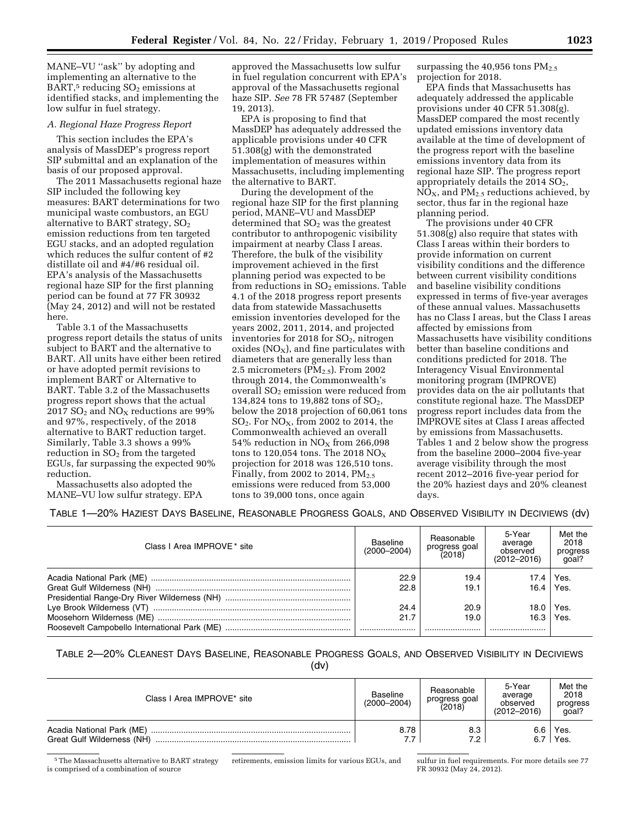MANE–VU ''ask'' by adopting and implementing an alternative to the BART, $5$  reducing  $SO<sub>2</sub>$  emissions at identified stacks, and implementing the low sulfur in fuel strategy.

## *A. Regional Haze Progress Report*

This section includes the EPA's analysis of MassDEP's progress report SIP submittal and an explanation of the basis of our proposed approval.

The 2011 Massachusetts regional haze SIP included the following key measures: BART determinations for two municipal waste combustors, an EGU alternative to BART strategy,  $SO<sub>2</sub>$ emission reductions from ten targeted EGU stacks, and an adopted regulation which reduces the sulfur content of #2 distillate oil and #4/#6 residual oil. EPA's analysis of the Massachusetts regional haze SIP for the first planning period can be found at 77 FR 30932 (May 24, 2012) and will not be restated here.

Table 3.1 of the Massachusetts progress report details the status of units subject to BART and the alternative to BART. All units have either been retired or have adopted permit revisions to implement BART or Alternative to BART. Table 3.2 of the Massachusetts progress report shows that the actual 2017  $SO_2$  and  $NO<sub>x</sub>$  reductions are 99% and 97%, respectively, of the 2018 alternative to BART reduction target. Similarly, Table 3.3 shows a 99% reduction in  $SO<sub>2</sub>$  from the targeted EGUs, far surpassing the expected 90% reduction.

Massachusetts also adopted the MANE–VU low sulfur strategy. EPA

approved the Massachusetts low sulfur in fuel regulation concurrent with EPA's approval of the Massachusetts regional haze SIP. *See* 78 FR 57487 (September 19, 2013).

EPA is proposing to find that MassDEP has adequately addressed the applicable provisions under 40 CFR 51.308(g) with the demonstrated implementation of measures within Massachusetts, including implementing the alternative to BART.

During the development of the regional haze SIP for the first planning period, MANE–VU and MassDEP  $d$  determined that  $SO<sub>2</sub>$  was the greatest contributor to anthropogenic visibility impairment at nearby Class I areas. Therefore, the bulk of the visibility improvement achieved in the first planning period was expected to be from reductions in  $SO<sub>2</sub>$  emissions. Table 4.1 of the 2018 progress report presents data from statewide Massachusetts emission inventories developed for the years 2002, 2011, 2014, and projected inventories for 2018 for  $SO<sub>2</sub>$ , nitrogen oxides ( $NO<sub>X</sub>$ ), and fine particulates with diameters that are generally less than 2.5 micrometers  $(PM<sub>2.5</sub>)$ . From 2002 through 2014, the Commonwealth's overall  $SO<sub>2</sub>$  emission were reduced from 134,824 tons to 19,882 tons of  $SO_2$ , below the 2018 projection of 60,061 tons  $SO<sub>2</sub>$ . For  $NO<sub>x</sub>$ , from 2002 to 2014, the Commonwealth achieved an overall 54% reduction in  $NO<sub>X</sub>$  from 266,098 tons to 120,054 tons. The 2018  $NO<sub>x</sub>$ projection for 2018 was 126,510 tons. Finally, from 2002 to 2014,  $PM_{2.5}$ emissions were reduced from 53,000 tons to 39,000 tons, once again

surpassing the  $40,956$  tons  $PM_{2,5}$ projection for 2018.

EPA finds that Massachusetts has adequately addressed the applicable provisions under 40 CFR 51.308(g). MassDEP compared the most recently updated emissions inventory data available at the time of development of the progress report with the baseline emissions inventory data from its regional haze SIP. The progress report appropriately details the  $2014$   $SO<sub>2</sub>$ ,  $NO<sub>X</sub>$ , and  $PM<sub>2.5</sub>$  reductions achieved, by sector, thus far in the regional haze planning period.

The provisions under 40 CFR 51.308(g) also require that states with Class I areas within their borders to provide information on current visibility conditions and the difference between current visibility conditions and baseline visibility conditions expressed in terms of five-year averages of these annual values. Massachusetts has no Class I areas, but the Class I areas affected by emissions from Massachusetts have visibility conditions better than baseline conditions and conditions predicted for 2018. The Interagency Visual Environmental monitoring program (IMPROVE) provides data on the air pollutants that constitute regional haze. The MassDEP progress report includes data from the IMPROVE sites at Class I areas affected by emissions from Massachusetts. Tables 1 and 2 below show the progress from the baseline 2000–2004 five-year average visibility through the most recent 2012–2016 five-year period for the 20% haziest days and 20% cleanest days.

# TABLE 1—20% HAZIEST DAYS BASELINE, REASONABLE PROGRESS GOALS, AND OBSERVED VISIBILITY IN DECIVIEWS (dv)

| Class I Area IMPROVE * site | Baseline<br>$(2000 - 2004)$ | Reasonable<br>progress goal<br>(2018) | 5-Year<br>average<br>observed<br>$(2012 - 2016)$ | Met the<br>2018<br>progress<br>qoal? |
|-----------------------------|-----------------------------|---------------------------------------|--------------------------------------------------|--------------------------------------|
|                             | 22.9                        | 19.4                                  | 17.4 <sub>1</sub>                                | Yes.                                 |
|                             | 22.8                        | 19.1                                  | 16.4                                             | Yes.                                 |
|                             |                             |                                       |                                                  |                                      |
|                             | 24.4                        | 20.9                                  | 18.0 l                                           | Yes.                                 |
|                             | 21.7                        | 19.0                                  | 16.3                                             | Yes.                                 |
|                             |                             |                                       |                                                  |                                      |

TABLE 2—20% CLEANEST DAYS BASELINE, REASONABLE PROGRESS GOALS, AND OBSERVED VISIBILITY IN DECIVIEWS

<sup>(</sup>dv)

| Class I Area IMPROVE* site | Baseline<br>$(2000 - 2004)$ | Reasonable<br>progress goal<br>(2018) | 5-Year<br>average<br>observed<br>$(2012 - 2016)$ | Met the<br>2018<br>progress<br>qoal? |
|----------------------------|-----------------------------|---------------------------------------|--------------------------------------------------|--------------------------------------|
| Acadia National Park (ME)  | 8.78                        | 8.3                                   | 6.6                                              | Yes.                                 |
| Great Gulf Wilderness (NH) | 7.7                         | 7.2                                   |                                                  | Yes.                                 |

5The Massachusetts alternative to BART strategy is comprised of a combination of source

retirements, emission limits for various EGUs, and sulfur in fuel requirements. For more details see 77 FR 30932 (May 24, 2012).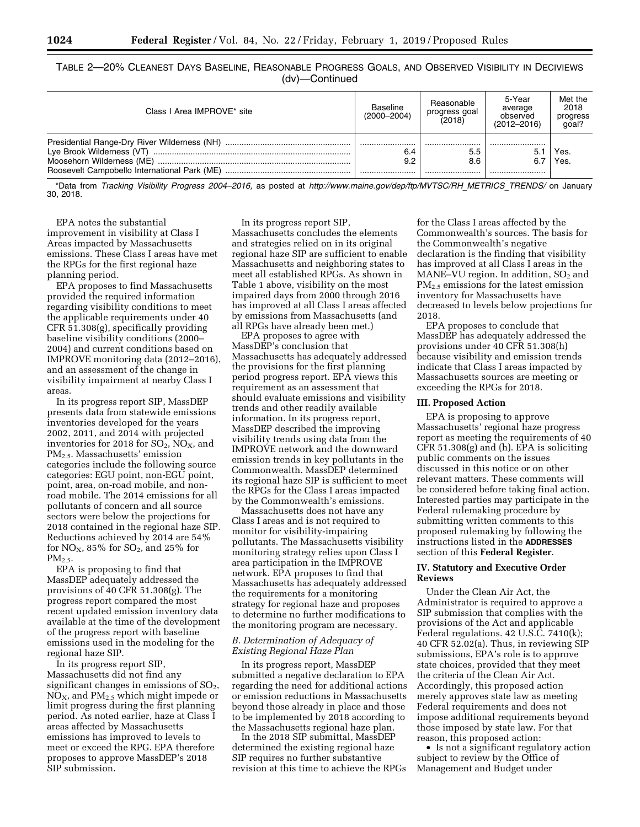|  | Table 2—20% Cleanest Days Baseline, Reasonable Progress Goals, and Observed Visibility in Deciviews |                |  |  |  |
|--|-----------------------------------------------------------------------------------------------------|----------------|--|--|--|
|  |                                                                                                     | (dv)-Continued |  |  |  |

| Class I Area IMPROVE* site | <b>Baseline</b><br>$(2000 - 2004)$ | Reasonable<br>progress goal<br>(2018) | 5-Year<br>average<br>observed<br>$(2012 - 2016)$ | Met the<br>2018<br>progress<br>qoal? |
|----------------------------|------------------------------------|---------------------------------------|--------------------------------------------------|--------------------------------------|
|                            | 6.4<br>9.2                         | <br>5.5<br>8.6<br>                    | <br>6.7<br>                                      | Yes.<br>Yes.                         |

\*Data from *Tracking Visibility Progress 2004–2016,* as posted at *[http://www.maine.gov/dep/ftp/MVTSC/RH](http://www.maine.gov/dep/ftp/MVTSC/RH_METRICS_TRENDS/)*\_*METRICS*\_*TRENDS/* on January 30, 2018.

EPA notes the substantial improvement in visibility at Class I Areas impacted by Massachusetts emissions. These Class I areas have met the RPGs for the first regional haze planning period.

EPA proposes to find Massachusetts provided the required information regarding visibility conditions to meet the applicable requirements under 40 CFR 51.308(g), specifically providing baseline visibility conditions (2000– 2004) and current conditions based on IMPROVE monitoring data (2012–2016), and an assessment of the change in visibility impairment at nearby Class I areas.

In its progress report SIP, MassDEP presents data from statewide emissions inventories developed for the years 2002, 2011, and 2014 with projected inventories for 2018 for  $SO_2$ ,  $NO_X$ , and PM2.5. Massachusetts' emission categories include the following source categories: EGU point, non-EGU point, point, area, on-road mobile, and nonroad mobile. The 2014 emissions for all pollutants of concern and all source sectors were below the projections for 2018 contained in the regional haze SIP. Reductions achieved by 2014 are 54% for  $NO<sub>X</sub>$ , 85% for  $SO<sub>2</sub>$ , and 25% for  $PM<sub>2.5</sub>$ 

EPA is proposing to find that MassDEP adequately addressed the provisions of 40 CFR 51.308(g). The progress report compared the most recent updated emission inventory data available at the time of the development of the progress report with baseline emissions used in the modeling for the regional haze SIP.

In its progress report SIP, Massachusetts did not find any significant changes in emissions of  $SO<sub>2</sub>$ ,  $NO<sub>X</sub>$ , and  $PM<sub>2.5</sub>$  which might impede or limit progress during the first planning period. As noted earlier, haze at Class I areas affected by Massachusetts emissions has improved to levels to meet or exceed the RPG. EPA therefore proposes to approve MassDEP's 2018 SIP submission.

In its progress report SIP, Massachusetts concludes the elements and strategies relied on in its original regional haze SIP are sufficient to enable Massachusetts and neighboring states to meet all established RPGs. As shown in Table 1 above, visibility on the most impaired days from 2000 through 2016 has improved at all Class I areas affected by emissions from Massachusetts (and all RPGs have already been met.)

EPA proposes to agree with MassDEP's conclusion that Massachusetts has adequately addressed the provisions for the first planning period progress report. EPA views this requirement as an assessment that should evaluate emissions and visibility trends and other readily available information. In its progress report, MassDEP described the improving visibility trends using data from the IMPROVE network and the downward emission trends in key pollutants in the Commonwealth. MassDEP determined its regional haze SIP is sufficient to meet the RPGs for the Class I areas impacted by the Commonwealth's emissions.

Massachusetts does not have any Class I areas and is not required to monitor for visibility-impairing pollutants. The Massachusetts visibility monitoring strategy relies upon Class I area participation in the IMPROVE network. EPA proposes to find that Massachusetts has adequately addressed the requirements for a monitoring strategy for regional haze and proposes to determine no further modifications to the monitoring program are necessary.

### *B. Determination of Adequacy of Existing Regional Haze Plan*

In its progress report, MassDEP submitted a negative declaration to EPA regarding the need for additional actions or emission reductions in Massachusetts beyond those already in place and those to be implemented by 2018 according to the Massachusetts regional haze plan.

In the 2018 SIP submittal, MassDEP determined the existing regional haze SIP requires no further substantive revision at this time to achieve the RPGs

for the Class I areas affected by the Commonwealth's sources. The basis for the Commonwealth's negative declaration is the finding that visibility has improved at all Class I areas in the MANE–VU region. In addition,  $SO<sub>2</sub>$  and PM2.5 emissions for the latest emission inventory for Massachusetts have decreased to levels below projections for 2018.

EPA proposes to conclude that MassDEP has adequately addressed the provisions under 40 CFR 51.308(h) because visibility and emission trends indicate that Class I areas impacted by Massachusetts sources are meeting or exceeding the RPGs for 2018.

## **III. Proposed Action**

EPA is proposing to approve Massachusetts' regional haze progress report as meeting the requirements of 40 CFR 51.308(g) and (h). EPA is soliciting public comments on the issues discussed in this notice or on other relevant matters. These comments will be considered before taking final action. Interested parties may participate in the Federal rulemaking procedure by submitting written comments to this proposed rulemaking by following the instructions listed in the **ADDRESSES** section of this **Federal Register**.

## **IV. Statutory and Executive Order Reviews**

Under the Clean Air Act, the Administrator is required to approve a SIP submission that complies with the provisions of the Act and applicable Federal regulations. 42 U.S.C. 7410(k); 40 CFR 52.02(a). Thus, in reviewing SIP submissions, EPA's role is to approve state choices, provided that they meet the criteria of the Clean Air Act. Accordingly, this proposed action merely approves state law as meeting Federal requirements and does not impose additional requirements beyond those imposed by state law. For that reason, this proposed action:

• Is not a significant regulatory action subject to review by the Office of Management and Budget under